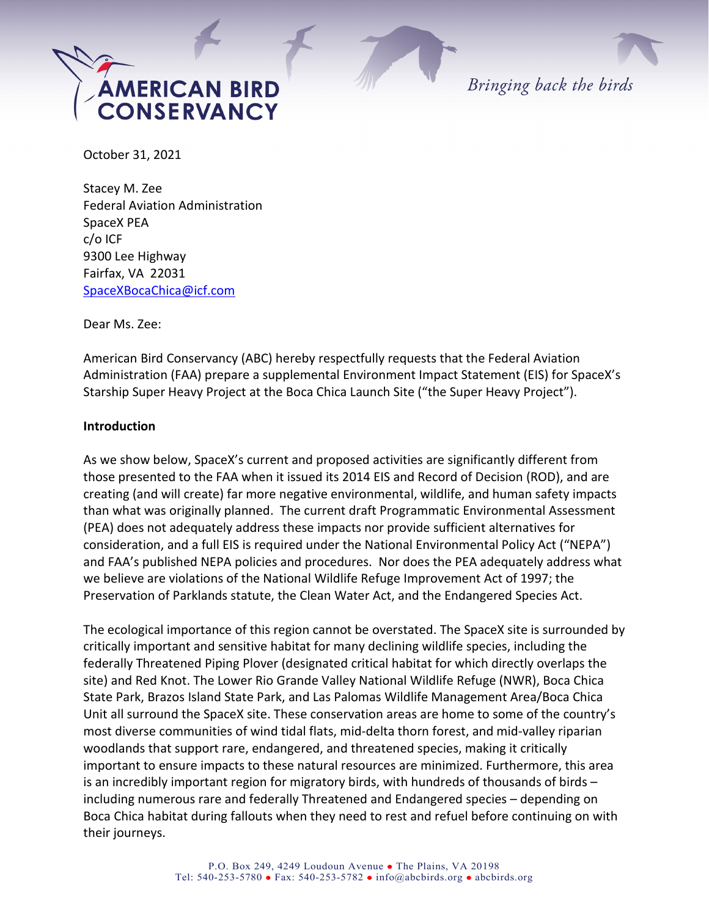

Bringing back the birds

October 31, 2021

Stacey M. Zee Federal Aviation Administration SpaceX PEA c/o ICF 9300 Lee Highway Fairfax, VA 22031 [SpaceXBocaChica@icf.com](mailto:SpaceXBocaChica@icf.com)

Dear Ms. Zee:

American Bird Conservancy (ABC) hereby respectfully requests that the Federal Aviation Administration (FAA) prepare a supplemental Environment Impact Statement (EIS) for SpaceX's Starship Super Heavy Project at the Boca Chica Launch Site ("the Super Heavy Project").

## **Introduction**

As we show below, SpaceX's current and proposed activities are significantly different from those presented to the FAA when it issued its 2014 EIS and Record of Decision (ROD), and are creating (and will create) far more negative environmental, wildlife, and human safety impacts than what was originally planned. The current draft Programmatic Environmental Assessment (PEA) does not adequately address these impacts nor provide sufficient alternatives for consideration, and a full EIS is required under the National Environmental Policy Act ("NEPA") and FAA's published NEPA policies and procedures. Nor does the PEA adequately address what we believe are violations of the National Wildlife Refuge Improvement Act of 1997; the Preservation of Parklands statute, the Clean Water Act, and the Endangered Species Act.

The ecological importance of this region cannot be overstated. The SpaceX site is surrounded by critically important and sensitive habitat for many declining wildlife species, including the federally Threatened Piping Plover (designated critical habitat for which directly overlaps the site) and Red Knot. The Lower Rio Grande Valley National Wildlife Refuge (NWR), Boca Chica State Park, Brazos Island State Park, and Las Palomas Wildlife Management Area/Boca Chica Unit all surround the SpaceX site. These conservation areas are home to some of the country's most diverse communities of wind tidal flats, mid-delta thorn forest, and mid-valley riparian woodlands that support rare, endangered, and threatened species, making it critically important to ensure impacts to these natural resources are minimized. Furthermore, this area is an incredibly important region for migratory birds, with hundreds of thousands of birds – including numerous rare and federally Threatened and Endangered species – depending on Boca Chica habitat during fallouts when they need to rest and refuel before continuing on with their journeys.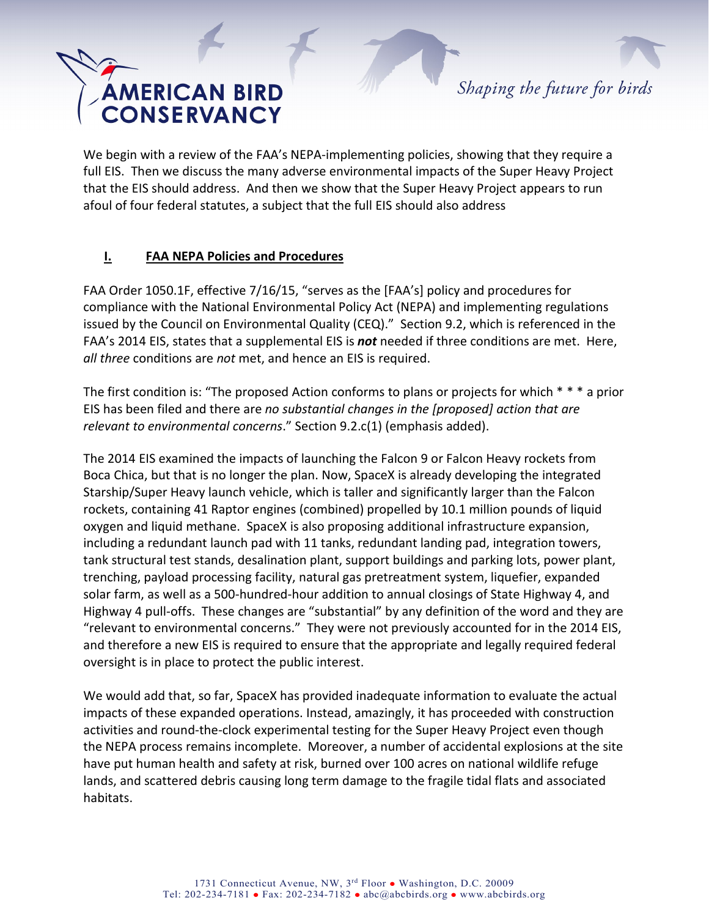Shaping the future for birds

We begin with a review of the FAA's NEPA-implementing policies, showing that they require a full EIS. Then we discuss the many adverse environmental impacts of the Super Heavy Project that the EIS should address. And then we show that the Super Heavy Project appears to run afoul of four federal statutes, a subject that the full EIS should also address

## **I. FAA NEPA Policies and Procedures**

FAA Order 1050.1F, effective 7/16/15, "serves as the [FAA's] policy and procedures for compliance with the National Environmental Policy Act (NEPA) and implementing regulations issued by the Council on Environmental Quality (CEQ)." Section 9.2, which is referenced in the FAA's 2014 EIS, states that a supplemental EIS is *not* needed if three conditions are met. Here, *all three* conditions are *not* met, and hence an EIS is required.

The first condition is: "The proposed Action conforms to plans or projects for which \* \* \* a prior EIS has been filed and there are *no substantial changes in the [proposed] action that are relevant to environmental concerns*." Section 9.2.c(1) (emphasis added).

The 2014 EIS examined the impacts of launching the Falcon 9 or Falcon Heavy rockets from Boca Chica, but that is no longer the plan. Now, SpaceX is already developing the integrated Starship/Super Heavy launch vehicle, which is taller and significantly larger than the Falcon rockets, containing 41 Raptor engines (combined) propelled by 10.1 million pounds of liquid oxygen and liquid methane. SpaceX is also proposing additional infrastructure expansion, including a redundant launch pad with 11 tanks, redundant landing pad, integration towers, tank structural test stands, desalination plant, support buildings and parking lots, power plant, trenching, payload processing facility, natural gas pretreatment system, liquefier, expanded solar farm, as well as a 500-hundred-hour addition to annual closings of State Highway 4, and Highway 4 pull-offs. These changes are "substantial" by any definition of the word and they are "relevant to environmental concerns." They were not previously accounted for in the 2014 EIS, and therefore a new EIS is required to ensure that the appropriate and legally required federal oversight is in place to protect the public interest.

We would add that, so far, SpaceX has provided inadequate information to evaluate the actual impacts of these expanded operations. Instead, amazingly, it has proceeded with construction activities and round-the-clock experimental testing for the Super Heavy Project even though the NEPA process remains incomplete. Moreover, a number of accidental explosions at the site have put human health and safety at risk, burned over 100 acres on national wildlife refuge lands, and scattered debris causing long term damage to the fragile tidal flats and associated habitats.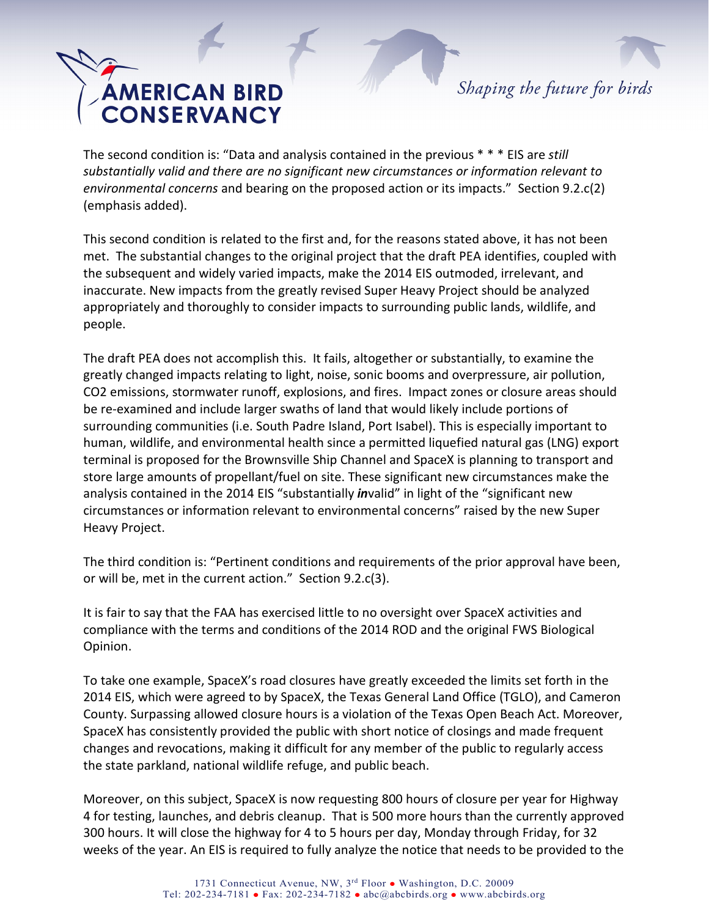

The second condition is: "Data and analysis contained in the previous \* \* \* EIS are *still substantially valid and there are no significant new circumstances or information relevant to environmental concerns* and bearing on the proposed action or its impacts." Section 9.2.c(2) (emphasis added).

This second condition is related to the first and, for the reasons stated above, it has not been met. The substantial changes to the original project that the draft PEA identifies, coupled with the subsequent and widely varied impacts, make the 2014 EIS outmoded, irrelevant, and inaccurate. New impacts from the greatly revised Super Heavy Project should be analyzed appropriately and thoroughly to consider impacts to surrounding public lands, wildlife, and people.

The draft PEA does not accomplish this. It fails, altogether or substantially, to examine the greatly changed impacts relating to light, noise, sonic booms and overpressure, air pollution, CO2 emissions, stormwater runoff, explosions, and fires. Impact zones or closure areas should be re-examined and include larger swaths of land that would likely include portions of surrounding communities (i.e. South Padre Island, Port Isabel). This is especially important to human, wildlife, and environmental health since a permitted liquefied natural gas (LNG) export terminal is proposed for the Brownsville Ship Channel and SpaceX is planning to transport and store large amounts of propellant/fuel on site. These significant new circumstances make the analysis contained in the 2014 EIS "substantially *in*valid" in light of the "significant new circumstances or information relevant to environmental concerns" raised by the new Super Heavy Project.

The third condition is: "Pertinent conditions and requirements of the prior approval have been, or will be, met in the current action." Section 9.2.c(3).

It is fair to say that the FAA has exercised little to no oversight over SpaceX activities and compliance with the terms and conditions of the 2014 ROD and the original FWS Biological Opinion.

To take one example, SpaceX's road closures have greatly exceeded the limits set forth in the 2014 EIS, which were agreed to by SpaceX, the Texas General Land Office (TGLO), and Cameron County. Surpassing allowed closure hours is a violation of the Texas Open Beach Act. Moreover, SpaceX has consistently provided the public with short notice of closings and made frequent changes and revocations, making it difficult for any member of the public to regularly access the state parkland, national wildlife refuge, and public beach.

Moreover, on this subject, SpaceX is now requesting 800 hours of closure per year for Highway 4 for testing, launches, and debris cleanup. That is 500 more hours than the currently approved 300 hours. It will close the highway for 4 to 5 hours per day, Monday through Friday, for 32 weeks of the year. An EIS is required to fully analyze the notice that needs to be provided to the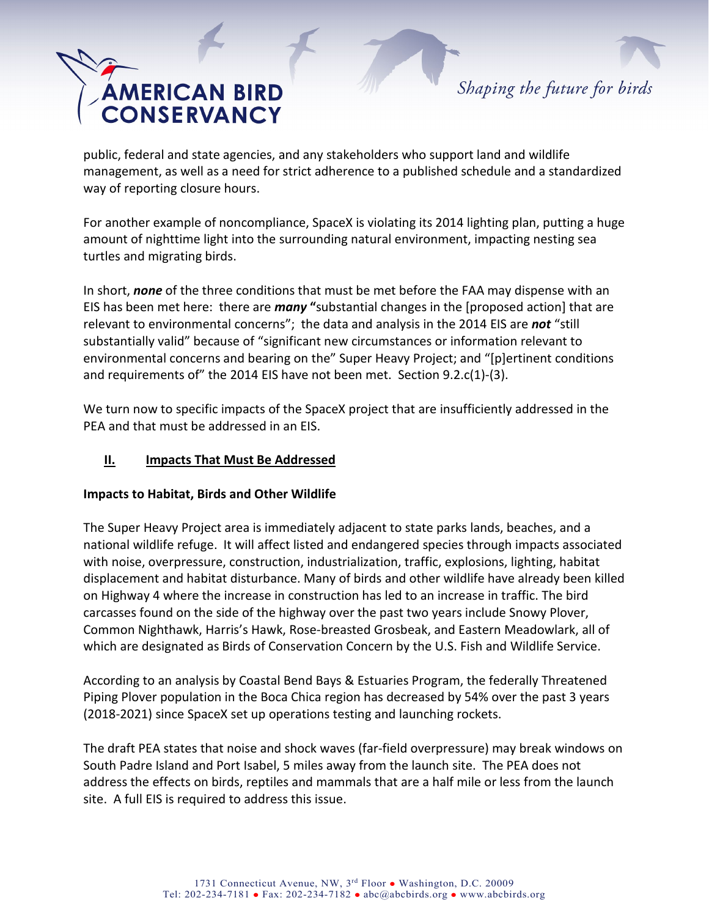Shaping the future for birds

public, federal and state agencies, and any stakeholders who support land and wildlife management, as well as a need for strict adherence to a published schedule and a standardized way of reporting closure hours.

For another example of noncompliance, SpaceX is violating its 2014 lighting plan, putting a huge amount of nighttime light into the surrounding natural environment, impacting nesting sea turtles and migrating birds.

In short, *none* of the three conditions that must be met before the FAA may dispense with an EIS has been met here: there are *many* **"**substantial changes in the [proposed action] that are relevant to environmental concerns"; the data and analysis in the 2014 EIS are *not* "still substantially valid" because of "significant new circumstances or information relevant to environmental concerns and bearing on the" Super Heavy Project; and "[p]ertinent conditions and requirements of" the 2014 EIS have not been met. Section 9.2.c(1)-(3).

We turn now to specific impacts of the SpaceX project that are insufficiently addressed in the PEA and that must be addressed in an EIS.

## **II. Impacts That Must Be Addressed**

## **Impacts to Habitat, Birds and Other Wildlife**

The Super Heavy Project area is immediately adjacent to state parks lands, beaches, and a national wildlife refuge. It will affect listed and endangered species through impacts associated with noise, overpressure, construction, industrialization, traffic, explosions, lighting, habitat displacement and habitat disturbance. Many of birds and other wildlife have already been killed on Highway 4 where the increase in construction has led to an increase in traffic. The bird carcasses found on the side of the highway over the past two years include Snowy Plover, Common Nighthawk, Harris's Hawk, Rose-breasted Grosbeak, and Eastern Meadowlark, all of which are designated as Birds of Conservation Concern by the U.S. Fish and Wildlife Service.

According to an analysis by Coastal Bend Bays & Estuaries Program, the federally Threatened Piping Plover population in the Boca Chica region has decreased by 54% over the past 3 years (2018-2021) since SpaceX set up operations testing and launching rockets.

The draft PEA states that noise and shock waves (far-field overpressure) may break windows on South Padre Island and Port Isabel, 5 miles away from the launch site. The PEA does not address the effects on birds, reptiles and mammals that are a half mile or less from the launch site. A full EIS is required to address this issue.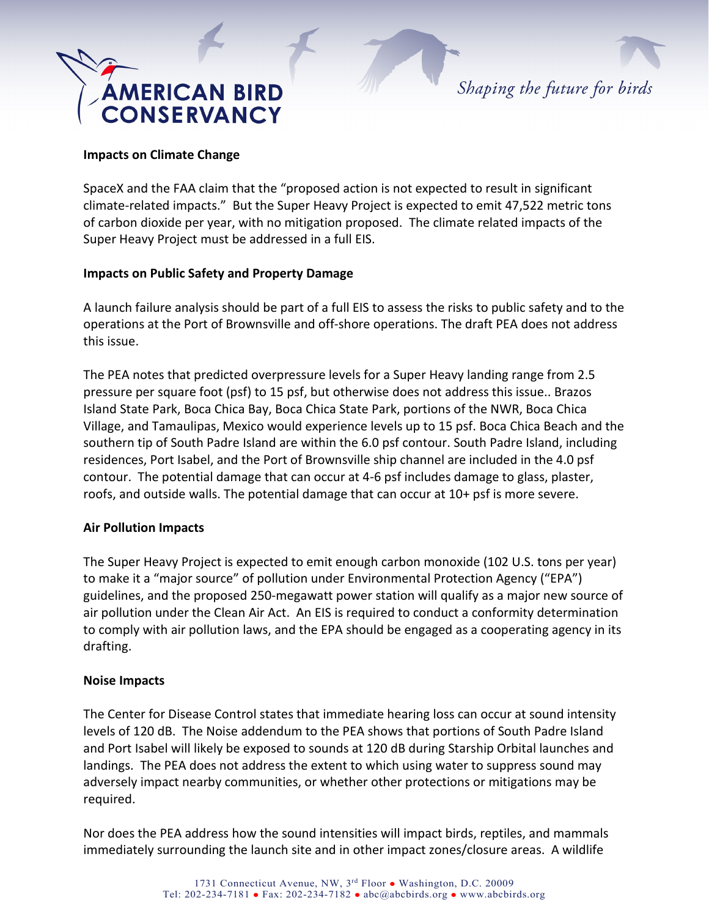

#### **Impacts on Climate Change**

SpaceX and the FAA claim that the "proposed action is not expected to result in significant climate-related impacts." But the Super Heavy Project is expected to emit 47,522 metric tons of carbon dioxide per year, with no mitigation proposed. The climate related impacts of the Super Heavy Project must be addressed in a full EIS.

#### **Impacts on Public Safety and Property Damage**

A launch failure analysis should be part of a full EIS to assess the risks to public safety and to the operations at the Port of Brownsville and off-shore operations. The draft PEA does not address this issue.

The PEA notes that predicted overpressure levels for a Super Heavy landing range from 2.5 pressure per square foot (psf) to 15 psf, but otherwise does not address this issue.. Brazos Island State Park, Boca Chica Bay, Boca Chica State Park, portions of the NWR, Boca Chica Village, and Tamaulipas, Mexico would experience levels up to 15 psf. Boca Chica Beach and the southern tip of South Padre Island are within the 6.0 psf contour. South Padre Island, including residences, Port Isabel, and the Port of Brownsville ship channel are included in the 4.0 psf contour. The potential damage that can occur at 4-6 psf includes damage to glass, plaster, roofs, and outside walls. The potential damage that can occur at 10+ psf is more severe.

#### **Air Pollution Impacts**

The Super Heavy Project is expected to emit enough carbon monoxide (102 U.S. tons per year) to make it a "major source" of pollution under Environmental Protection Agency ("EPA") guidelines, and the proposed 250-megawatt power station will qualify as a major new source of air pollution under the Clean Air Act. An EIS is required to conduct a conformity determination to comply with air pollution laws, and the EPA should be engaged as a cooperating agency in its drafting.

#### **Noise Impacts**

The Center for Disease Control states that immediate hearing loss can occur at sound intensity levels of 120 dB. The Noise addendum to the PEA shows that portions of South Padre Island and Port Isabel will likely be exposed to sounds at 120 dB during Starship Orbital launches and landings. The PEA does not address the extent to which using water to suppress sound may adversely impact nearby communities, or whether other protections or mitigations may be required.

Nor does the PEA address how the sound intensities will impact birds, reptiles, and mammals immediately surrounding the launch site and in other impact zones/closure areas. A wildlife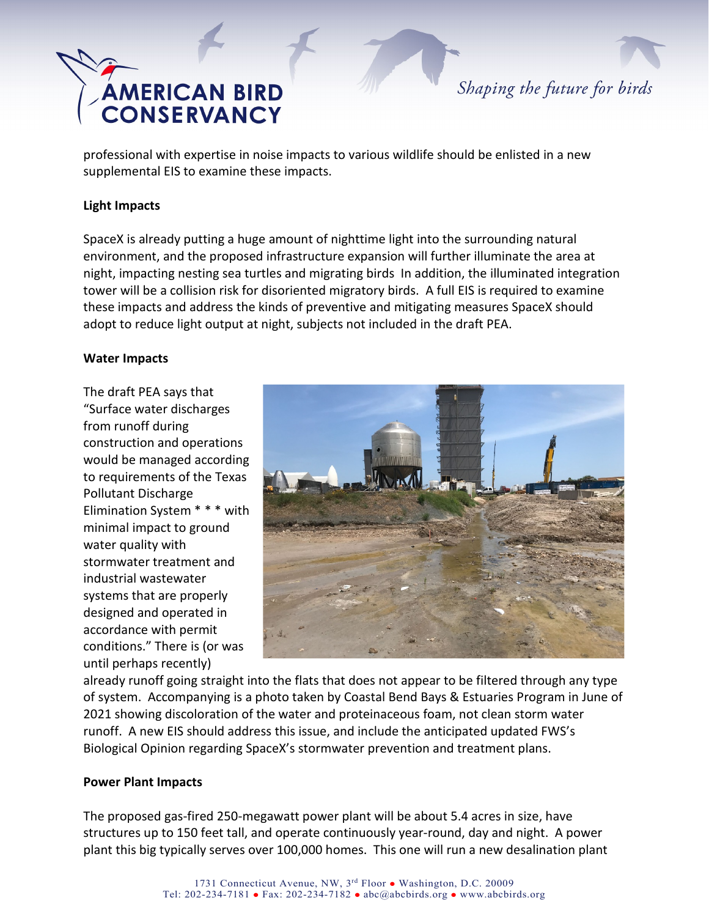

professional with expertise in noise impacts to various wildlife should be enlisted in a new supplemental EIS to examine these impacts.

#### **Light Impacts**

SpaceX is already putting a huge amount of nighttime light into the surrounding natural environment, and the proposed infrastructure expansion will further illuminate the area at night, impacting nesting sea turtles and migrating birds In addition, the illuminated integration tower will be a collision risk for disoriented migratory birds. A full EIS is required to examine these impacts and address the kinds of preventive and mitigating measures SpaceX should adopt to reduce light output at night, subjects not included in the draft PEA.

#### **Water Impacts**

The draft PEA says that "Surface water discharges from runoff during construction and operations would be managed according to requirements of the Texas Pollutant Discharge Elimination System \* \* \* with minimal impact to ground water quality with stormwater treatment and industrial wastewater systems that are properly designed and operated in accordance with permit conditions." There is (or was until perhaps recently)



already runoff going straight into the flats that does not appear to be filtered through any type of system. Accompanying is a photo taken by Coastal Bend Bays & Estuaries Program in June of 2021 showing discoloration of the water and proteinaceous foam, not clean storm water runoff. A new EIS should address this issue, and include the anticipated updated FWS's Biological Opinion regarding SpaceX's stormwater prevention and treatment plans.

#### **Power Plant Impacts**

The proposed gas-fired 250-megawatt power plant will be about 5.4 acres in size, have structures up to 150 feet tall, and operate continuously year-round, day and night. A power plant this big typically serves over 100,000 homes. This one will run a new desalination plant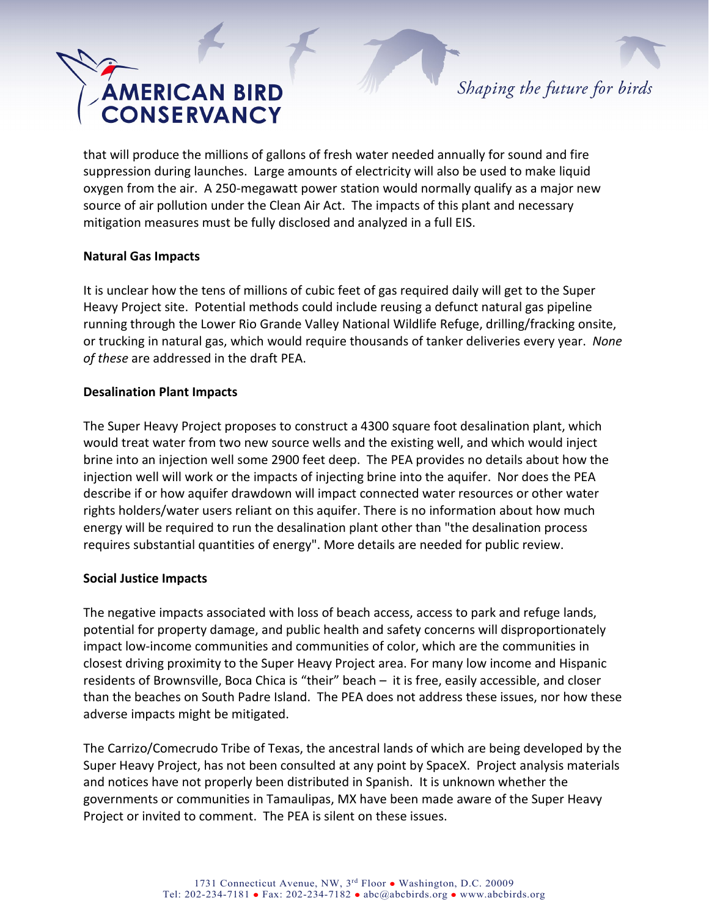Shaping the future for birds

that will produce the millions of gallons of fresh water needed annually for sound and fire suppression during launches. Large amounts of electricity will also be used to make liquid oxygen from the air. A 250-megawatt power station would normally qualify as a major new source of air pollution under the Clean Air Act. The impacts of this plant and necessary mitigation measures must be fully disclosed and analyzed in a full EIS.

## **Natural Gas Impacts**

It is unclear how the tens of millions of cubic feet of gas required daily will get to the Super Heavy Project site. Potential methods could include reusing a defunct natural gas pipeline running through the Lower Rio Grande Valley National Wildlife Refuge, drilling/fracking onsite, or trucking in natural gas, which would require thousands of tanker deliveries every year. *None of these* are addressed in the draft PEA.

## **Desalination Plant Impacts**

The Super Heavy Project proposes to construct a 4300 square foot desalination plant, which would treat water from two new source wells and the existing well, and which would inject brine into an injection well some 2900 feet deep. The PEA provides no details about how the injection well will work or the impacts of injecting brine into the aquifer. Nor does the PEA describe if or how aquifer drawdown will impact connected water resources or other water rights holders/water users reliant on this aquifer. There is no information about how much energy will be required to run the desalination plant other than "the desalination process requires substantial quantities of energy". More details are needed for public review.

## **Social Justice Impacts**

The negative impacts associated with loss of beach access, access to park and refuge lands, potential for property damage, and public health and safety concerns will disproportionately impact low-income communities and communities of color, which are the communities in closest driving proximity to the Super Heavy Project area. For many low income and Hispanic residents of Brownsville, Boca Chica is "their" beach – it is free, easily accessible, and closer than the beaches on South Padre Island. The PEA does not address these issues, nor how these adverse impacts might be mitigated.

The Carrizo/Comecrudo Tribe of Texas, the ancestral lands of which are being developed by the Super Heavy Project, has not been consulted at any point by SpaceX. Project analysis materials and notices have not properly been distributed in Spanish. It is unknown whether the governments or communities in Tamaulipas, MX have been made aware of the Super Heavy Project or invited to comment. The PEA is silent on these issues.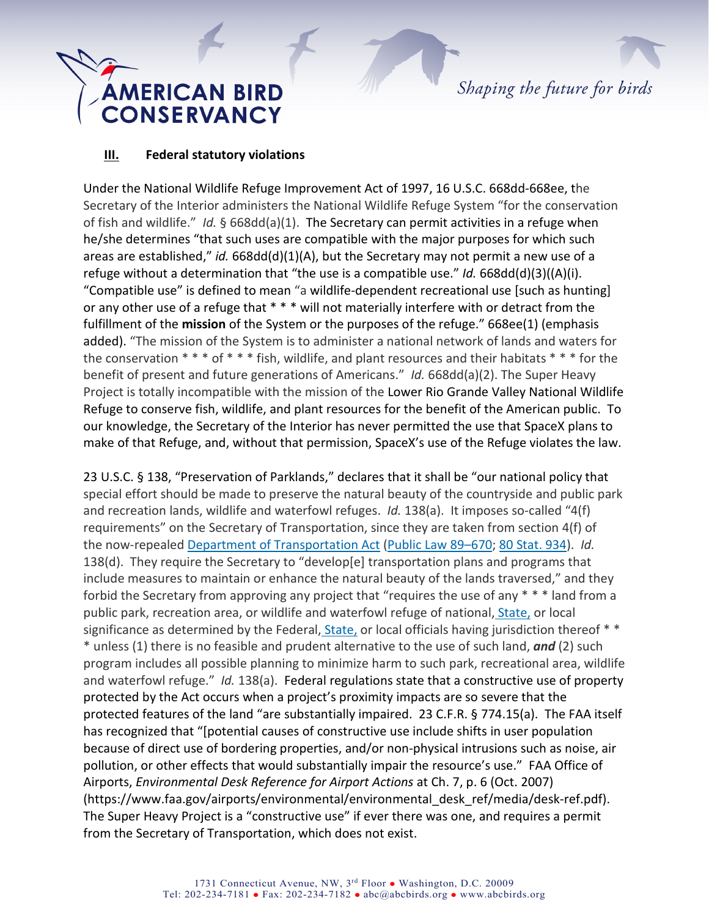## **AMERICAN BIRD<br>CONSERVANCY**

## **III. Federal statutory violations**

Under the National Wildlife Refuge Improvement Act of 1997, 16 U.S.C. 668dd-668ee, the Secretary of the Interior administers the National Wildlife Refuge System "for the conservation of fish and wildlife." *Id.* § 668dd(a)(1). The Secretary can permit activities in a refuge when he/she determines "that such uses are compatible with the major purposes for which such areas are established," *id.* 668dd(d)(1)(A), but the Secretary may not permit a new use of a refuge without a determination that "the use is a compatible use." *Id.* 668dd(d)(3)((A)(i). "Compatible use" is defined to mean "a [wildlife-dependent recreational use](https://www.law.cornell.edu/definitions/uscode.php?width=840&height=800&iframe=true&def_id=16-USC-1277565940-1997147581&term_occur=999&term_src=title:16:chapter:5A:subchapter:III:section:668ee) [such as hunting] or any other use of a [refuge](https://www.law.cornell.edu/definitions/uscode.php?width=840&height=800&iframe=true&def_id=16-USC-934814048-1782032885&term_occur=999&term_src=title:16:chapter:5A:subchapter:III:section:668ee) that \* \* \* will not materially interfere with or detract from the fulfillment of the **mission** of the [System](https://www.law.cornell.edu/definitions/uscode.php?width=840&height=800&iframe=true&def_id=16-USC-1803461041-621061629&term_occur=999&term_src=title:16:chapter:5A:subchapter:III:section:668ee) or the [purposes of the refuge."](https://www.law.cornell.edu/definitions/uscode.php?width=840&height=800&iframe=true&def_id=16-USC-848606541-1782032884&term_occur=999&term_src=title:16:chapter:5A:subchapter:III:section:668ee) 668ee(1) (emphasis added). "The mission of the System is to administer a national network of lands and waters for the conservation \* \* \* of \* \* \* fish, wildlife, and plant resources and their habitats \* \* \* for the benefit of present and future generations of Americans." *Id.* 668dd(a)(2). The Super Heavy Project is totally incompatible with the mission of the Lower Rio Grande Valley National Wildlife Refuge to conserve fish, wildlife, and plant resources for the benefit of the American public. To our knowledge, the Secretary of the Interior has never permitted the use that SpaceX plans to make of that Refuge, and, without that permission, SpaceX's use of the Refuge violates the law.

23 U.S.C. § 138, "Preservation of Parklands," declares that it shall be "our national policy that special effort should be made to preserve the natural beauty of the countryside and public park and recreation lands, wildlife and waterfowl refuges. *Id.* 138(a). It imposes so-called "4(f) requirements" on the Secretary of Transportation, since they are taken from section 4(f) of the now-repealed [Department of Transportation Act](https://www.law.cornell.edu/topn/department_of_transportation_act) [\(Public Law 89–670;](https://www.law.cornell.edu/rio/citation/Pub._L._89-670) [80 Stat. 934\)](https://www.law.cornell.edu/rio/citation/80_Stat._934). *Id.*  138(d). They require the Secretary to "develop[e] transportation plans and programs that include measures to maintain or enhance the natural beauty of the lands traversed," and they forbid the Secretary from approving any project that "requires the use of any \* \* \* land from a public park, recreation area, or wildlife and waterfowl refuge of national, [State,](https://www.law.cornell.edu/definitions/uscode.php?width=840&height=800&iframe=true&def_id=23-USC-80204913-293024740&term_occur=999&term_src=title:23:chapter:1:section:138) or local significance as determined by the Federal, [State,](https://www.law.cornell.edu/definitions/uscode.php?width=840&height=800&iframe=true&def_id=23-USC-80204913-293024740&term_occur=999&term_src=title:23:chapter:1:section:138) or local officials having jurisdiction thereof \*\* \* unless (1) there is no feasible and prudent alternative to the use of such land, *and* (2) such program includes all possible planning to minimize harm to such park, recreational area, wildlife and waterfowl refuge." *Id.* 138(a). Federal regulations state that a constructive use of property protected by the Act occurs when a project's proximity impacts are so severe that the protected features of the land "are substantially impaired. 23 C.F.R. § 774.15(a). The FAA itself has recognized that "[potential causes of constructive use include shifts in user population because of direct use of bordering properties, and/or non-physical intrusions such as noise, air pollution, or other effects that would substantially impair the resource's use." FAA Office of Airports, *Environmental Desk Reference for Airport Actions* at Ch. 7, p. 6 (Oct. 2007) (https://www.faa.gov/airports/environmental/environmental\_desk\_ref/media/desk-ref.pdf). The Super Heavy Project is a "constructive use" if ever there was one, and requires a permit from the Secretary of Transportation, which does not exist.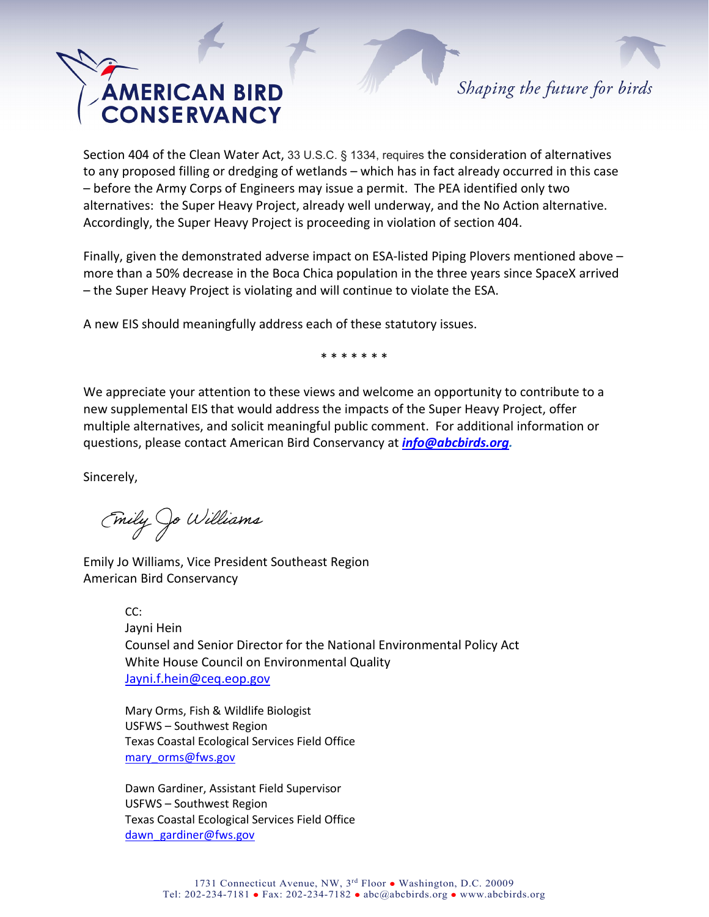Shaping the future for birds

Section 404 of the Clean Water Act, 33 U.S.C. § 1334, requires the consideration of alternatives to any proposed filling or dredging of wetlands – which has in fact already occurred in this case – before the Army Corps of Engineers may issue a permit. The PEA identified only two alternatives: the Super Heavy Project, already well underway, and the No Action alternative. Accordingly, the Super Heavy Project is proceeding in violation of section 404.

Finally, given the demonstrated adverse impact on ESA-listed Piping Plovers mentioned above – more than a 50% decrease in the Boca Chica population in the three years since SpaceX arrived – the Super Heavy Project is violating and will continue to violate the ESA.

A new EIS should meaningfully address each of these statutory issues.

\* \* \* \* \* \* \*

We appreciate your attention to these views and welcome an opportunity to contribute to a new supplemental EIS that would address the impacts of the Super Heavy Project, offer multiple alternatives, and solicit meaningful public comment. For additional information or questions, please contact American Bird Conservancy at *[info@abcbirds.org.](mailto:info@abcbirds.org)* 

Sincerely,

Emily Jo Williams

Emily Jo Williams, Vice President Southeast Region American Bird Conservancy

> CC: Jayni Hein Counsel and Senior Director for the National Environmental Policy Act White House Council on Environmental Quality [Jayni.f.hein@ceq.eop.gov](mailto:Jayni.f.hein@ceq.eop.gov)

Mary Orms, Fish & Wildlife Biologist USFWS – Southwest Region Texas Coastal Ecological Services Field Office [mary\\_orms@fws.gov](mailto:mary_orms@fws.gov)

Dawn Gardiner, Assistant Field Supervisor USFWS – Southwest Region Texas Coastal Ecological Services Field Office [dawn\\_gardiner@fws.gov](mailto:dawn_gardiner@fws.gov)